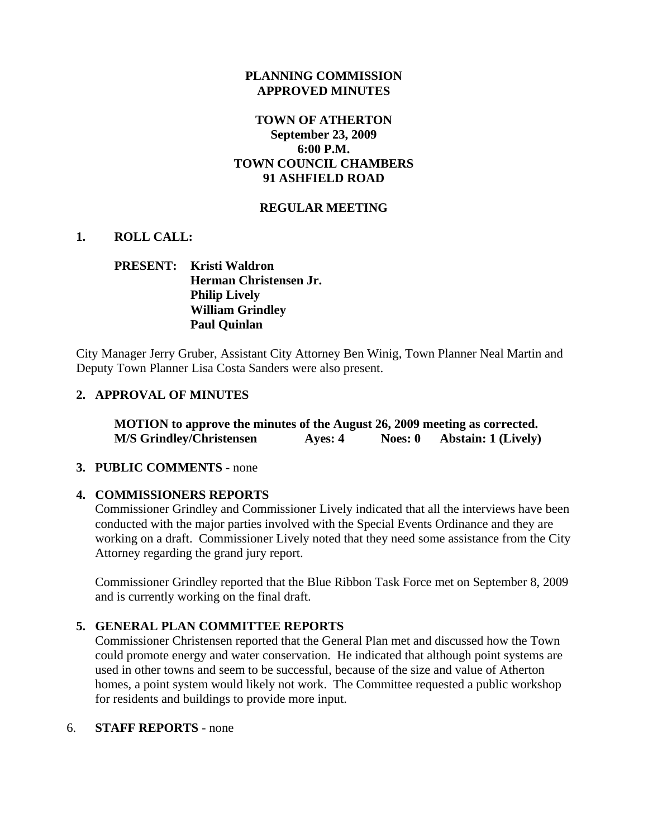### **PLANNING COMMISSION APPROVED MINUTES**

## **TOWN OF ATHERTON September 23, 2009 6:00 P.M. TOWN COUNCIL CHAMBERS 91 ASHFIELD ROAD**

## **REGULAR MEETING**

## **1. ROLL CALL:**

# **PRESENT: Kristi Waldron Herman Christensen Jr. Philip Lively William Grindley Paul Quinlan**

City Manager Jerry Gruber, Assistant City Attorney Ben Winig, Town Planner Neal Martin and Deputy Town Planner Lisa Costa Sanders were also present.

## **2. APPROVAL OF MINUTES**

**MOTION to approve the minutes of the August 26, 2009 meeting as corrected. M/S Grindley/Christensen Ayes: 4 Noes: 0 Abstain: 1 (Lively)** 

### **3. PUBLIC COMMENTS** - none

### **4. COMMISSIONERS REPORTS**

Commissioner Grindley and Commissioner Lively indicated that all the interviews have been conducted with the major parties involved with the Special Events Ordinance and they are working on a draft. Commissioner Lively noted that they need some assistance from the City Attorney regarding the grand jury report.

Commissioner Grindley reported that the Blue Ribbon Task Force met on September 8, 2009 and is currently working on the final draft.

### **5. GENERAL PLAN COMMITTEE REPORTS**

Commissioner Christensen reported that the General Plan met and discussed how the Town could promote energy and water conservation. He indicated that although point systems are used in other towns and seem to be successful, because of the size and value of Atherton homes, a point system would likely not work. The Committee requested a public workshop for residents and buildings to provide more input.

### 6. **STAFF REPORTS** - none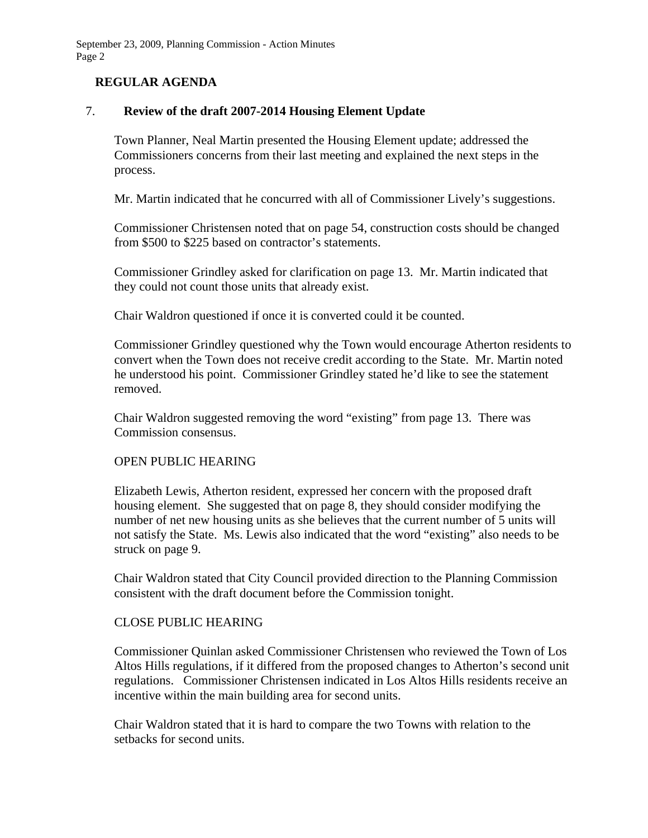# **REGULAR AGENDA**

## 7. **Review of the draft 2007-2014 Housing Element Update**

Town Planner, Neal Martin presented the Housing Element update; addressed the Commissioners concerns from their last meeting and explained the next steps in the process.

Mr. Martin indicated that he concurred with all of Commissioner Lively's suggestions.

Commissioner Christensen noted that on page 54, construction costs should be changed from \$500 to \$225 based on contractor's statements.

Commissioner Grindley asked for clarification on page 13. Mr. Martin indicated that they could not count those units that already exist.

Chair Waldron questioned if once it is converted could it be counted.

Commissioner Grindley questioned why the Town would encourage Atherton residents to convert when the Town does not receive credit according to the State. Mr. Martin noted he understood his point. Commissioner Grindley stated he'd like to see the statement removed.

Chair Waldron suggested removing the word "existing" from page 13. There was Commission consensus.

### OPEN PUBLIC HEARING

Elizabeth Lewis, Atherton resident, expressed her concern with the proposed draft housing element. She suggested that on page 8, they should consider modifying the number of net new housing units as she believes that the current number of 5 units will not satisfy the State. Ms. Lewis also indicated that the word "existing" also needs to be struck on page 9.

Chair Waldron stated that City Council provided direction to the Planning Commission consistent with the draft document before the Commission tonight.

### CLOSE PUBLIC HEARING

Commissioner Quinlan asked Commissioner Christensen who reviewed the Town of Los Altos Hills regulations, if it differed from the proposed changes to Atherton's second unit regulations. Commissioner Christensen indicated in Los Altos Hills residents receive an incentive within the main building area for second units.

Chair Waldron stated that it is hard to compare the two Towns with relation to the setbacks for second units.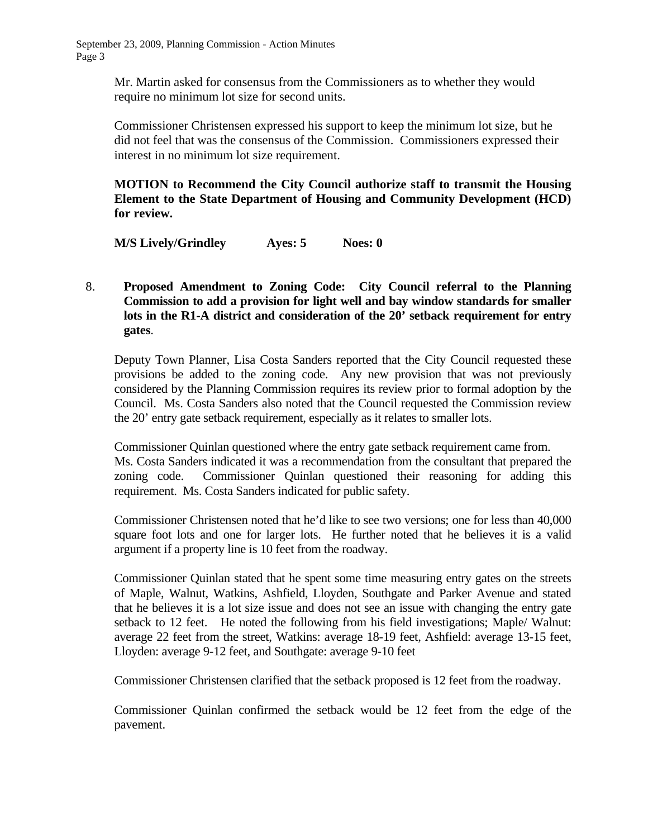Mr. Martin asked for consensus from the Commissioners as to whether they would require no minimum lot size for second units.

Commissioner Christensen expressed his support to keep the minimum lot size, but he did not feel that was the consensus of the Commission. Commissioners expressed their interest in no minimum lot size requirement.

**MOTION to Recommend the City Council authorize staff to transmit the Housing Element to the State Department of Housing and Community Development (HCD) for review.** 

**M/S Lively/Grindley Ayes: 5 Noes: 0** 

8. **Proposed Amendment to Zoning Code: City Council referral to the Planning Commission to add a provision for light well and bay window standards for smaller lots in the R1-A district and consideration of the 20' setback requirement for entry gates**.

Deputy Town Planner, Lisa Costa Sanders reported that the City Council requested these provisions be added to the zoning code. Any new provision that was not previously considered by the Planning Commission requires its review prior to formal adoption by the Council. Ms. Costa Sanders also noted that the Council requested the Commission review the 20' entry gate setback requirement, especially as it relates to smaller lots.

Commissioner Quinlan questioned where the entry gate setback requirement came from. Ms. Costa Sanders indicated it was a recommendation from the consultant that prepared the zoning code. Commissioner Quinlan questioned their reasoning for adding this requirement. Ms. Costa Sanders indicated for public safety.

Commissioner Christensen noted that he'd like to see two versions; one for less than 40,000 square foot lots and one for larger lots. He further noted that he believes it is a valid argument if a property line is 10 feet from the roadway.

Commissioner Quinlan stated that he spent some time measuring entry gates on the streets of Maple, Walnut, Watkins, Ashfield, Lloyden, Southgate and Parker Avenue and stated that he believes it is a lot size issue and does not see an issue with changing the entry gate setback to 12 feet. He noted the following from his field investigations; Maple/ Walnut: average 22 feet from the street, Watkins: average 18-19 feet, Ashfield: average 13-15 feet, Lloyden: average 9-12 feet, and Southgate: average 9-10 feet

Commissioner Christensen clarified that the setback proposed is 12 feet from the roadway.

Commissioner Quinlan confirmed the setback would be 12 feet from the edge of the pavement.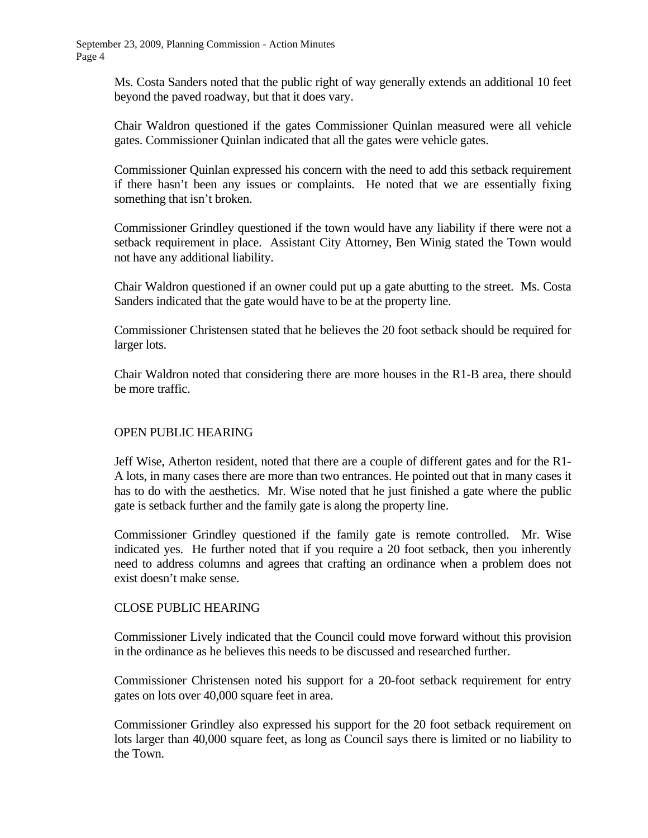Ms. Costa Sanders noted that the public right of way generally extends an additional 10 feet beyond the paved roadway, but that it does vary.

Chair Waldron questioned if the gates Commissioner Quinlan measured were all vehicle gates. Commissioner Quinlan indicated that all the gates were vehicle gates.

Commissioner Quinlan expressed his concern with the need to add this setback requirement if there hasn't been any issues or complaints. He noted that we are essentially fixing something that isn't broken.

Commissioner Grindley questioned if the town would have any liability if there were not a setback requirement in place. Assistant City Attorney, Ben Winig stated the Town would not have any additional liability.

Chair Waldron questioned if an owner could put up a gate abutting to the street. Ms. Costa Sanders indicated that the gate would have to be at the property line.

Commissioner Christensen stated that he believes the 20 foot setback should be required for larger lots.

Chair Waldron noted that considering there are more houses in the R1-B area, there should be more traffic.

## OPEN PUBLIC HEARING

Jeff Wise, Atherton resident, noted that there are a couple of different gates and for the R1- A lots, in many cases there are more than two entrances. He pointed out that in many cases it has to do with the aesthetics. Mr. Wise noted that he just finished a gate where the public gate is setback further and the family gate is along the property line.

Commissioner Grindley questioned if the family gate is remote controlled. Mr. Wise indicated yes. He further noted that if you require a 20 foot setback, then you inherently need to address columns and agrees that crafting an ordinance when a problem does not exist doesn't make sense.

### CLOSE PUBLIC HEARING

Commissioner Lively indicated that the Council could move forward without this provision in the ordinance as he believes this needs to be discussed and researched further.

Commissioner Christensen noted his support for a 20-foot setback requirement for entry gates on lots over 40,000 square feet in area.

Commissioner Grindley also expressed his support for the 20 foot setback requirement on lots larger than 40,000 square feet, as long as Council says there is limited or no liability to the Town.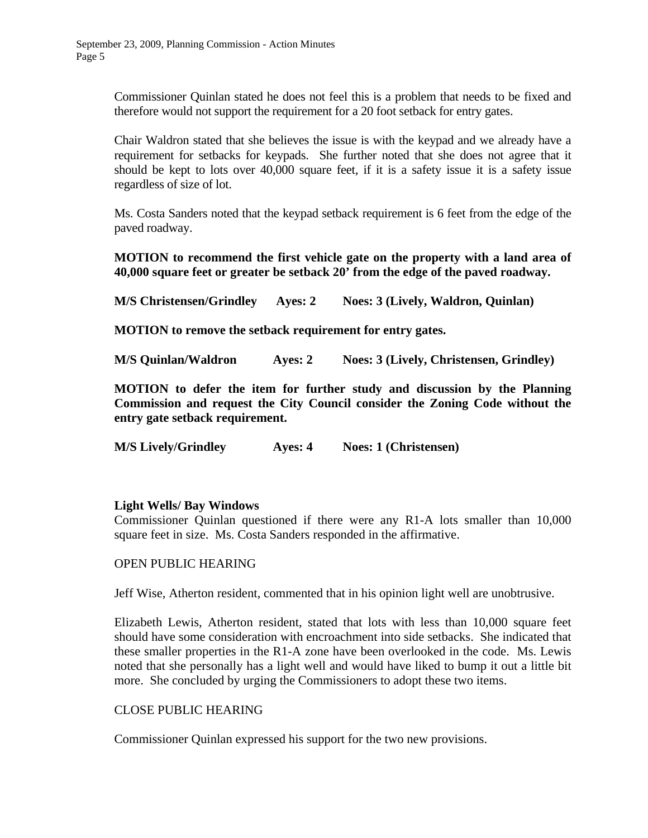Commissioner Quinlan stated he does not feel this is a problem that needs to be fixed and therefore would not support the requirement for a 20 foot setback for entry gates.

Chair Waldron stated that she believes the issue is with the keypad and we already have a requirement for setbacks for keypads. She further noted that she does not agree that it should be kept to lots over 40,000 square feet, if it is a safety issue it is a safety issue regardless of size of lot.

Ms. Costa Sanders noted that the keypad setback requirement is 6 feet from the edge of the paved roadway.

**MOTION to recommend the first vehicle gate on the property with a land area of 40,000 square feet or greater be setback 20' from the edge of the paved roadway.** 

**M/S Christensen/Grindley Ayes: 2 Noes: 3 (Lively, Waldron, Quinlan)** 

**MOTION to remove the setback requirement for entry gates.** 

**M/S Quinlan/Waldron Ayes: 2 Noes: 3 (Lively, Christensen, Grindley)** 

**MOTION to defer the item for further study and discussion by the Planning Commission and request the City Council consider the Zoning Code without the entry gate setback requirement.** 

**M/S Lively/Grindley Ayes: 4 Noes: 1 (Christensen)** 

### **Light Wells/ Bay Windows**

Commissioner Quinlan questioned if there were any R1-A lots smaller than 10,000 square feet in size. Ms. Costa Sanders responded in the affirmative.

### OPEN PUBLIC HEARING

Jeff Wise, Atherton resident, commented that in his opinion light well are unobtrusive.

Elizabeth Lewis, Atherton resident, stated that lots with less than 10,000 square feet should have some consideration with encroachment into side setbacks. She indicated that these smaller properties in the R1-A zone have been overlooked in the code. Ms. Lewis noted that she personally has a light well and would have liked to bump it out a little bit more. She concluded by urging the Commissioners to adopt these two items.

### CLOSE PUBLIC HEARING

Commissioner Quinlan expressed his support for the two new provisions.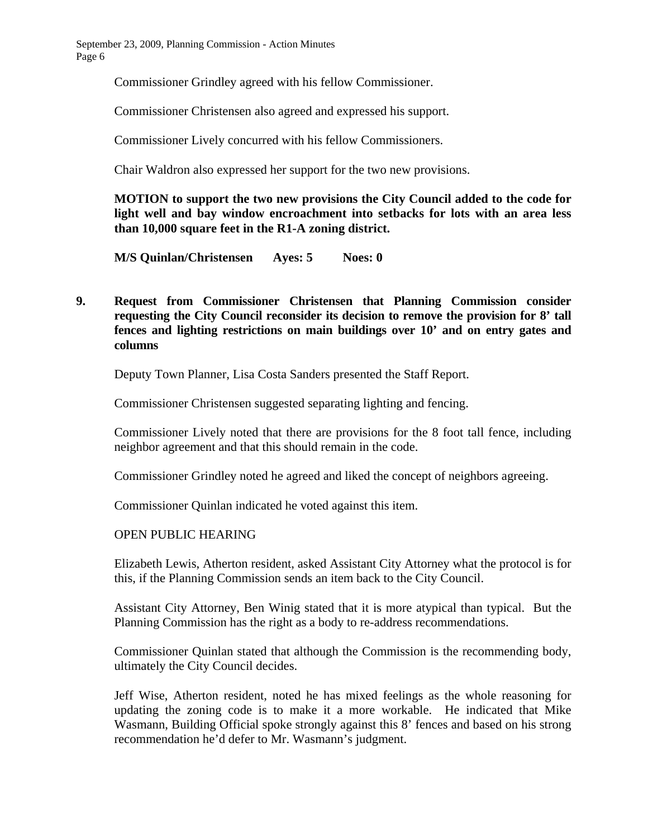Commissioner Grindley agreed with his fellow Commissioner.

Commissioner Christensen also agreed and expressed his support.

Commissioner Lively concurred with his fellow Commissioners.

Chair Waldron also expressed her support for the two new provisions.

**MOTION to support the two new provisions the City Council added to the code for light well and bay window encroachment into setbacks for lots with an area less than 10,000 square feet in the R1-A zoning district.** 

**M/S Quinlan/Christensen Ayes: 5 Noes: 0** 

**9. Request from Commissioner Christensen that Planning Commission consider requesting the City Council reconsider its decision to remove the provision for 8' tall fences and lighting restrictions on main buildings over 10' and on entry gates and columns** 

Deputy Town Planner, Lisa Costa Sanders presented the Staff Report.

Commissioner Christensen suggested separating lighting and fencing.

 Commissioner Lively noted that there are provisions for the 8 foot tall fence, including neighbor agreement and that this should remain in the code.

Commissioner Grindley noted he agreed and liked the concept of neighbors agreeing.

Commissioner Quinlan indicated he voted against this item.

### OPEN PUBLIC HEARING

 Elizabeth Lewis, Atherton resident, asked Assistant City Attorney what the protocol is for this, if the Planning Commission sends an item back to the City Council.

 Assistant City Attorney, Ben Winig stated that it is more atypical than typical. But the Planning Commission has the right as a body to re-address recommendations.

 Commissioner Quinlan stated that although the Commission is the recommending body, ultimately the City Council decides.

 Jeff Wise, Atherton resident, noted he has mixed feelings as the whole reasoning for updating the zoning code is to make it a more workable. He indicated that Mike Wasmann, Building Official spoke strongly against this 8' fences and based on his strong recommendation he'd defer to Mr. Wasmann's judgment.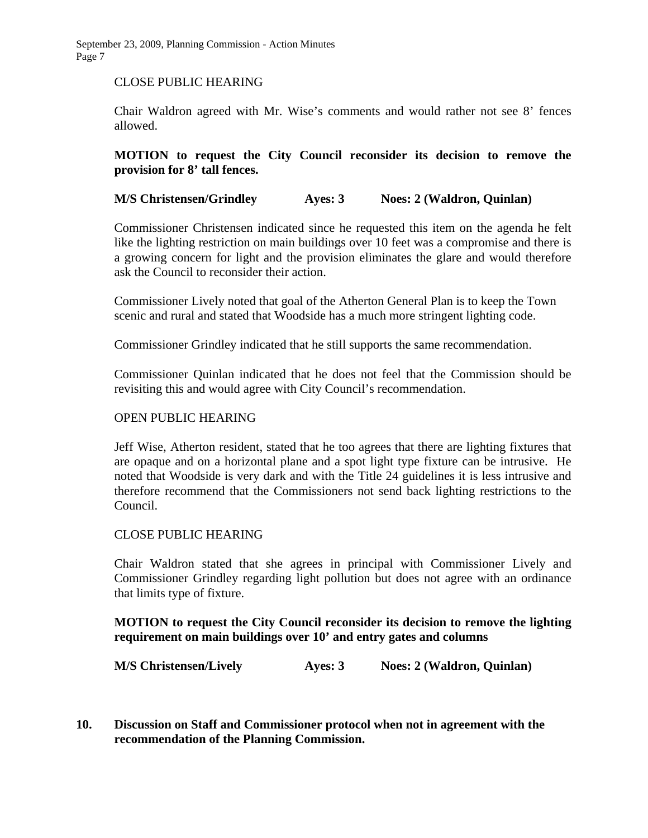September 23, 2009, Planning Commission - Action Minutes Page 7

#### CLOSE PUBLIC HEARING

Chair Waldron agreed with Mr. Wise's comments and would rather not see 8' fences allowed.

### **MOTION to request the City Council reconsider its decision to remove the provision for 8' tall fences.**

### **M/S Christensen/Grindley Ayes: 3 Noes: 2 (Waldron, Quinlan)**

Commissioner Christensen indicated since he requested this item on the agenda he felt like the lighting restriction on main buildings over 10 feet was a compromise and there is a growing concern for light and the provision eliminates the glare and would therefore ask the Council to reconsider their action.

 Commissioner Lively noted that goal of the Atherton General Plan is to keep the Town scenic and rural and stated that Woodside has a much more stringent lighting code.

Commissioner Grindley indicated that he still supports the same recommendation.

Commissioner Quinlan indicated that he does not feel that the Commission should be revisiting this and would agree with City Council's recommendation.

#### OPEN PUBLIC HEARING

Jeff Wise, Atherton resident, stated that he too agrees that there are lighting fixtures that are opaque and on a horizontal plane and a spot light type fixture can be intrusive. He noted that Woodside is very dark and with the Title 24 guidelines it is less intrusive and therefore recommend that the Commissioners not send back lighting restrictions to the Council.

### CLOSE PUBLIC HEARING

Chair Waldron stated that she agrees in principal with Commissioner Lively and Commissioner Grindley regarding light pollution but does not agree with an ordinance that limits type of fixture.

### **MOTION to request the City Council reconsider its decision to remove the lighting requirement on main buildings over 10' and entry gates and columns**

**M/S Christensen/Lively Ayes: 3 Noes: 2 (Waldron, Quinlan)** 

**10. Discussion on Staff and Commissioner protocol when not in agreement with the recommendation of the Planning Commission.**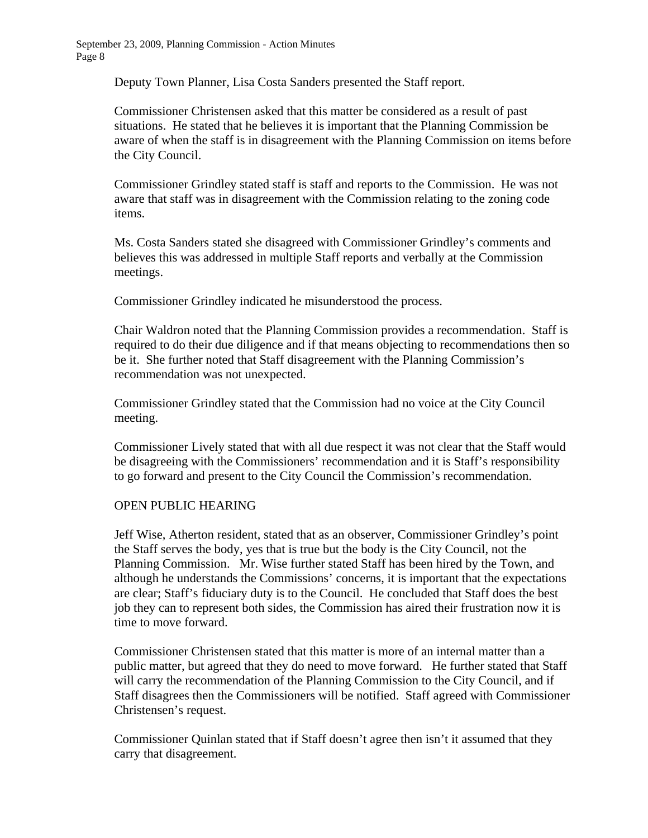Deputy Town Planner, Lisa Costa Sanders presented the Staff report.

 Commissioner Christensen asked that this matter be considered as a result of past situations. He stated that he believes it is important that the Planning Commission be aware of when the staff is in disagreement with the Planning Commission on items before the City Council.

 Commissioner Grindley stated staff is staff and reports to the Commission. He was not aware that staff was in disagreement with the Commission relating to the zoning code items.

 Ms. Costa Sanders stated she disagreed with Commissioner Grindley's comments and believes this was addressed in multiple Staff reports and verbally at the Commission meetings.

Commissioner Grindley indicated he misunderstood the process.

 Chair Waldron noted that the Planning Commission provides a recommendation. Staff is required to do their due diligence and if that means objecting to recommendations then so be it. She further noted that Staff disagreement with the Planning Commission's recommendation was not unexpected.

 Commissioner Grindley stated that the Commission had no voice at the City Council meeting.

 Commissioner Lively stated that with all due respect it was not clear that the Staff would be disagreeing with the Commissioners' recommendation and it is Staff's responsibility to go forward and present to the City Council the Commission's recommendation.

### OPEN PUBLIC HEARING

 Jeff Wise, Atherton resident, stated that as an observer, Commissioner Grindley's point the Staff serves the body, yes that is true but the body is the City Council, not the Planning Commission. Mr. Wise further stated Staff has been hired by the Town, and although he understands the Commissions' concerns, it is important that the expectations are clear; Staff's fiduciary duty is to the Council. He concluded that Staff does the best job they can to represent both sides, the Commission has aired their frustration now it is time to move forward.

 Commissioner Christensen stated that this matter is more of an internal matter than a public matter, but agreed that they do need to move forward. He further stated that Staff will carry the recommendation of the Planning Commission to the City Council, and if Staff disagrees then the Commissioners will be notified. Staff agreed with Commissioner Christensen's request.

 Commissioner Quinlan stated that if Staff doesn't agree then isn't it assumed that they carry that disagreement.